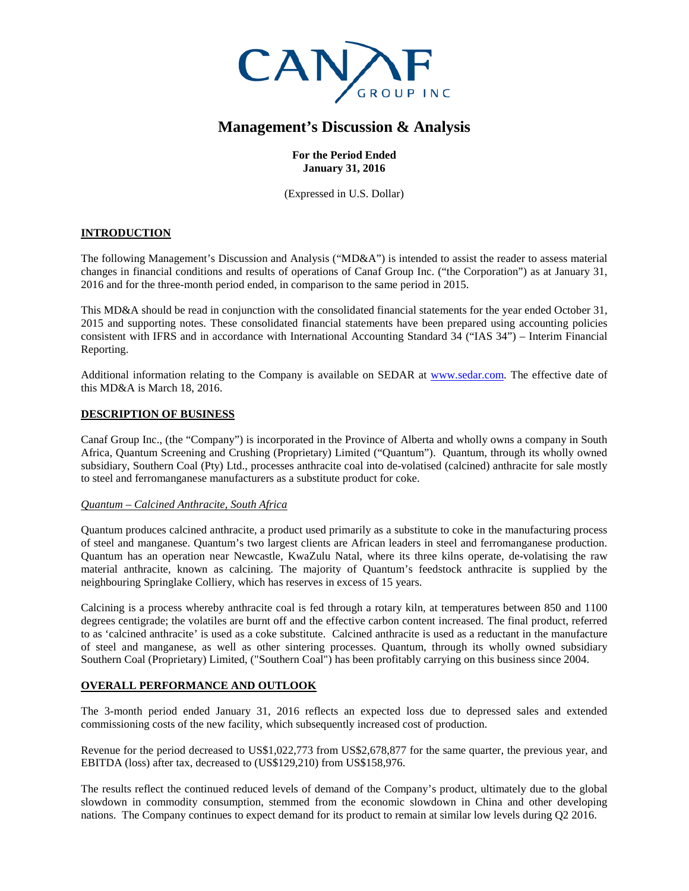

# **Management's Discussion & Analysis**

# **For the Period Ended January 31, 2016**

(Expressed in U.S. Dollar)

# **INTRODUCTION**

The following Management's Discussion and Analysis ("MD&A") is intended to assist the reader to assess material changes in financial conditions and results of operations of Canaf Group Inc. ("the Corporation") as at January 31, 2016 and for the three-month period ended, in comparison to the same period in 2015.

This MD&A should be read in conjunction with the consolidated financial statements for the year ended October 31, 2015 and supporting notes. These consolidated financial statements have been prepared using accounting policies consistent with IFRS and in accordance with International Accounting Standard 34 ("IAS 34") – Interim Financial Reporting.

Additional information relating to the Company is available on SEDAR at [www.sedar.com.](http://www.sedar.com/) The effective date of this MD&A is March 18, 2016.

# **DESCRIPTION OF BUSINESS**

Canaf Group Inc., (the "Company") is incorporated in the Province of Alberta and wholly owns a company in South Africa, Quantum Screening and Crushing (Proprietary) Limited ("Quantum"). Quantum, through its wholly owned subsidiary, Southern Coal (Pty) Ltd., processes anthracite coal into de-volatised (calcined) anthracite for sale mostly to steel and ferromanganese manufacturers as a substitute product for coke.

#### *Quantum – Calcined Anthracite, South Africa*

Quantum produces calcined anthracite, a product used primarily as a substitute to coke in the manufacturing process of steel and manganese. Quantum's two largest clients are African leaders in steel and ferromanganese production. Quantum has an operation near Newcastle, KwaZulu Natal, where its three kilns operate, de-volatising the raw material anthracite, known as calcining. The majority of Quantum's feedstock anthracite is supplied by the neighbouring Springlake Colliery, which has reserves in excess of 15 years.

Calcining is a process whereby anthracite coal is fed through a rotary kiln, at temperatures between 850 and 1100 degrees centigrade; the volatiles are burnt off and the effective carbon content increased. The final product, referred to as 'calcined anthracite' is used as a coke substitute. Calcined anthracite is used as a reductant in the manufacture of steel and manganese, as well as other sintering processes. Quantum, through its wholly owned subsidiary Southern Coal (Proprietary) Limited, ("Southern Coal") has been profitably carrying on this business since 2004.

# **OVERALL PERFORMANCE AND OUTLOOK**

The 3-month period ended January 31, 2016 reflects an expected loss due to depressed sales and extended commissioning costs of the new facility, which subsequently increased cost of production.

Revenue for the period decreased to US\$1,022,773 from US\$2,678,877 for the same quarter, the previous year, and EBITDA (loss) after tax, decreased to (US\$129,210) from US\$158,976.

The results reflect the continued reduced levels of demand of the Company's product, ultimately due to the global slowdown in commodity consumption, stemmed from the economic slowdown in China and other developing nations. The Company continues to expect demand for its product to remain at similar low levels during Q2 2016.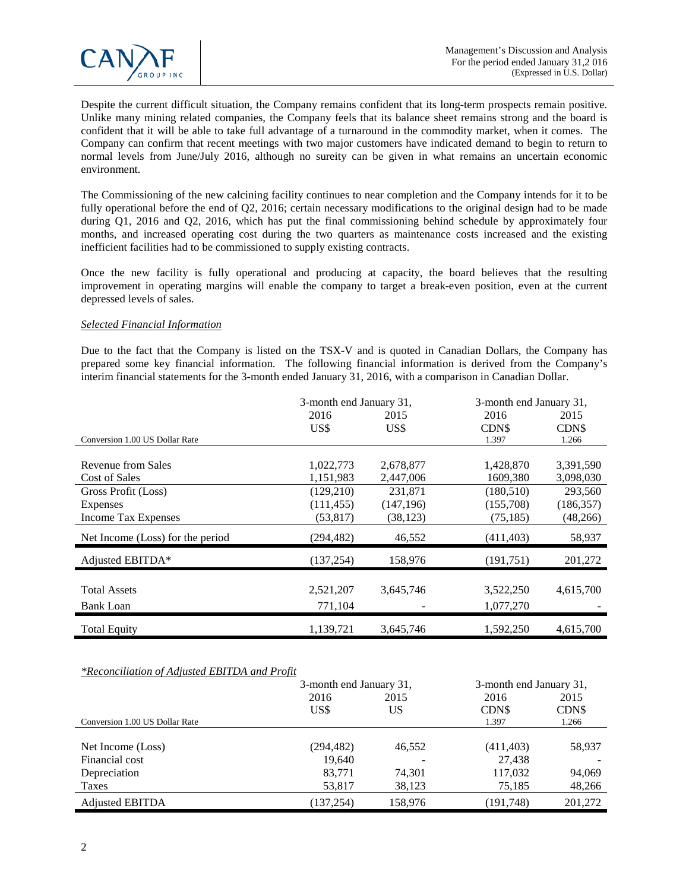

Despite the current difficult situation, the Company remains confident that its long-term prospects remain positive. Unlike many mining related companies, the Company feels that its balance sheet remains strong and the board is confident that it will be able to take full advantage of a turnaround in the commodity market, when it comes. The Company can confirm that recent meetings with two major customers have indicated demand to begin to return to normal levels from June/July 2016, although no sureity can be given in what remains an uncertain economic environment.

The Commissioning of the new calcining facility continues to near completion and the Company intends for it to be fully operational before the end of Q2, 2016; certain necessary modifications to the original design had to be made during Q1, 2016 and Q2, 2016, which has put the final commissioning behind schedule by approximately four months, and increased operating cost during the two quarters as maintenance costs increased and the existing inefficient facilities had to be commissioned to supply existing contracts.

Once the new facility is fully operational and producing at capacity, the board believes that the resulting improvement in operating margins will enable the company to target a break-even position, even at the current depressed levels of sales.

### *Selected Financial Information*

Due to the fact that the Company is listed on the TSX-V and is quoted in Canadian Dollars, the Company has prepared some key financial information. The following financial information is derived from the Company's interim financial statements for the 3-month ended January 31, 2016, with a comparison in Canadian Dollar.

|                                  | 3-month end January 31, |            | 3-month end January 31, |            |
|----------------------------------|-------------------------|------------|-------------------------|------------|
|                                  | 2016                    | 2015       | 2016                    | 2015       |
|                                  | US\$                    | US\$       | CDN\$                   | CDN\$      |
| Conversion 1.00 US Dollar Rate   |                         |            | 1.397                   | 1.266      |
|                                  |                         |            |                         |            |
| Revenue from Sales               | 1,022,773               | 2,678,877  | 1,428,870               | 3,391,590  |
| Cost of Sales                    | 1,151,983               | 2,447,006  | 1609,380                | 3,098,030  |
| Gross Profit (Loss)              | (129,210)               | 231,871    | (180, 510)              | 293,560    |
| Expenses                         | (111, 455)              | (147, 196) | (155,708)               | (186, 357) |
| Income Tax Expenses              | (53, 817)               | (38, 123)  | (75, 185)               | (48, 266)  |
| Net Income (Loss) for the period | (294, 482)              | 46,552     | (411, 403)              | 58,937     |
| Adjusted EBITDA*                 | (137, 254)              | 158,976    | (191,751)               | 201,272    |
|                                  |                         |            |                         |            |
| <b>Total Assets</b>              | 2,521,207               | 3,645,746  | 3,522,250               | 4,615,700  |
| Bank Loan                        | 771,104                 |            | 1,077,270               |            |
| <b>Total Equity</b>              | 1,139,721               | 3,645,746  | 1.592.250               | 4,615,700  |

#### *\*Reconciliation of Adjusted EBITDA and Profit*

|                                | 3-month end January 31, |         | 3-month end January 31, |         |
|--------------------------------|-------------------------|---------|-------------------------|---------|
|                                | 2016                    | 2015    | 2016                    | 2015    |
|                                | US\$                    | US      | CDN\$                   | CDN\$   |
| Conversion 1.00 US Dollar Rate |                         |         | 1.397                   | 1.266   |
|                                |                         |         |                         |         |
| Net Income (Loss)              | (294, 482)              | 46,552  | (411, 403)              | 58,937  |
| Financial cost                 | 19,640                  |         | 27,438                  |         |
| Depreciation                   | 83.771                  | 74,301  | 117,032                 | 94,069  |
| Taxes                          | 53,817                  | 38,123  | 75,185                  | 48,266  |
| <b>Adjusted EBITDA</b>         | (137, 254)              | 158,976 | (191,748)               | 201,272 |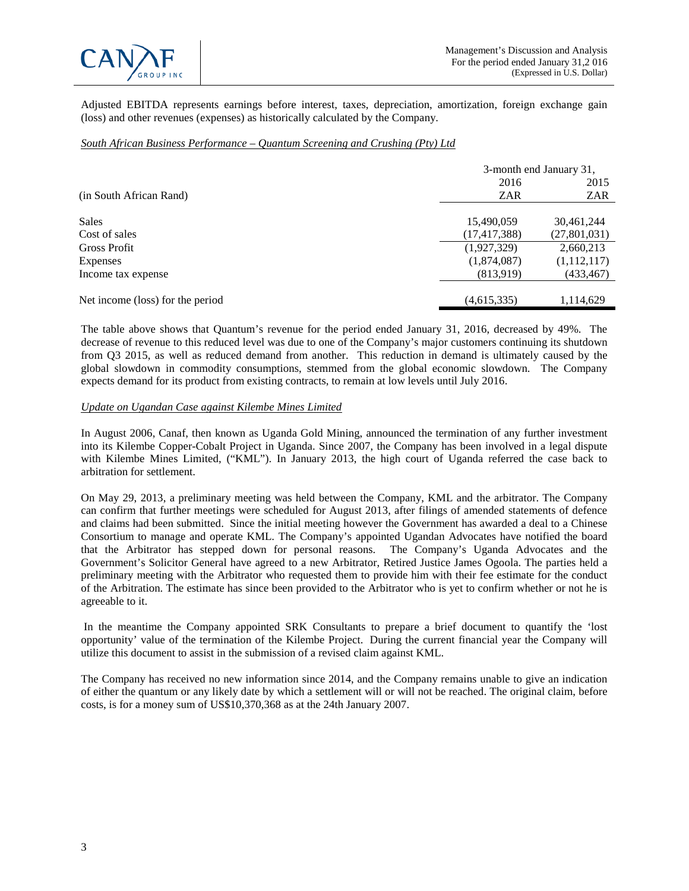

Adjusted EBITDA represents earnings before interest, taxes, depreciation, amortization, foreign exchange gain (loss) and other revenues (expenses) as historically calculated by the Company.

### *South African Business Performance – Quantum Screening and Crushing (Pty) Ltd*

|                                  |                | 3-month end January 31, |  |
|----------------------------------|----------------|-------------------------|--|
|                                  | 2016           | 2015                    |  |
| (in South African Rand)          | <b>ZAR</b>     | ZAR                     |  |
|                                  |                |                         |  |
| <b>Sales</b>                     | 15,490,059     | 30,461,244              |  |
| Cost of sales                    | (17, 417, 388) | (27,801,031)            |  |
| <b>Gross Profit</b>              | (1,927,329)    | 2,660,213               |  |
| Expenses                         | (1,874,087)    | (1,112,117)             |  |
| Income tax expense               | (813,919)      | (433,467)               |  |
|                                  |                |                         |  |
| Net income (loss) for the period | (4,615,335)    | 1,114,629               |  |

The table above shows that Quantum's revenue for the period ended January 31, 2016, decreased by 49%. The decrease of revenue to this reduced level was due to one of the Company's major customers continuing its shutdown from Q3 2015, as well as reduced demand from another. This reduction in demand is ultimately caused by the global slowdown in commodity consumptions, stemmed from the global economic slowdown. The Company expects demand for its product from existing contracts, to remain at low levels until July 2016.

## *Update on Ugandan Case against Kilembe Mines Limited*

In August 2006, Canaf, then known as Uganda Gold Mining, announced the termination of any further investment into its Kilembe Copper-Cobalt Project in Uganda. Since 2007, the Company has been involved in a legal dispute with Kilembe Mines Limited, ("KML"). In January 2013, the high court of Uganda referred the case back to arbitration for settlement.

On May 29, 2013, a preliminary meeting was held between the Company, KML and the arbitrator. The Company can confirm that further meetings were scheduled for August 2013, after filings of amended statements of defence and claims had been submitted. Since the initial meeting however the Government has awarded a deal to a Chinese Consortium to manage and operate KML. The Company's appointed Ugandan Advocates have notified the board that the Arbitrator has stepped down for personal reasons. The Company's Uganda Advocates and the Government's Solicitor General have agreed to a new Arbitrator, Retired Justice James Ogoola. The parties held a preliminary meeting with the Arbitrator who requested them to provide him with their fee estimate for the conduct of the Arbitration. The estimate has since been provided to the Arbitrator who is yet to confirm whether or not he is agreeable to it.

In the meantime the Company appointed SRK Consultants to prepare a brief document to quantify the 'lost opportunity' value of the termination of the Kilembe Project. During the current financial year the Company will utilize this document to assist in the submission of a revised claim against KML.

The Company has received no new information since 2014, and the Company remains unable to give an indication of either the quantum or any likely date by which a settlement will or will not be reached. The original claim, before costs, is for a money sum of US\$10,370,368 as at the 24th January 2007.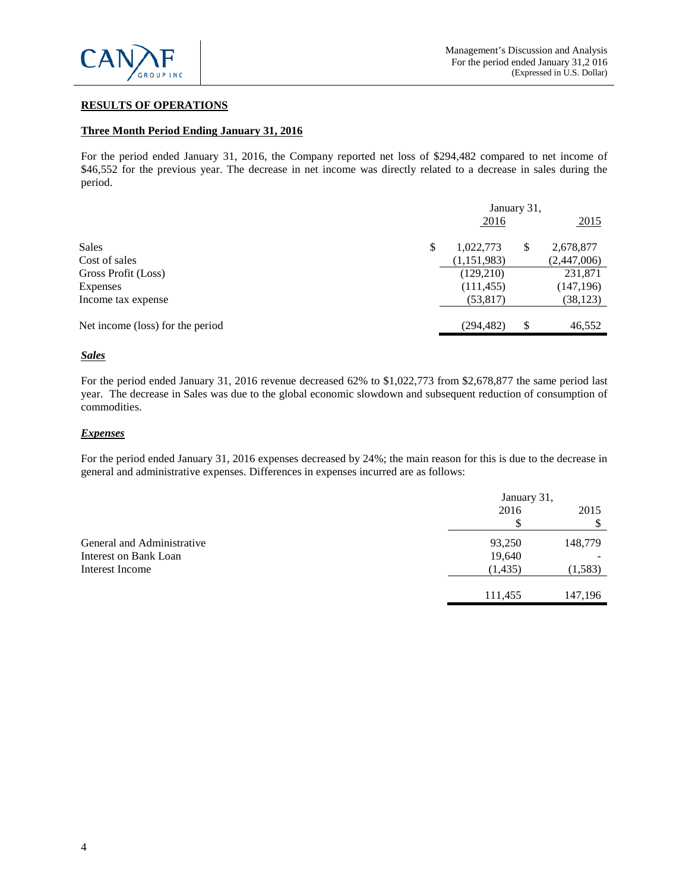

# **RESULTS OF OPERATIONS**

#### **Three Month Period Ending January 31, 2016**

For the period ended January 31, 2016, the Company reported net loss of \$294,482 compared to net income of \$46,552 for the previous year. The decrease in net income was directly related to a decrease in sales during the period.

|                                  | January 31,     |    |             |
|----------------------------------|-----------------|----|-------------|
|                                  | 2016            |    | 2015        |
| <b>Sales</b>                     | \$<br>1,022,773 | S  | 2,678,877   |
| Cost of sales                    | (1,151,983)     |    | (2,447,006) |
| Gross Profit (Loss)              | (129,210)       |    | 231,871     |
| Expenses                         | (111, 455)      |    | (147, 196)  |
| Income tax expense               | (53, 817)       |    | (38, 123)   |
|                                  |                 |    |             |
| Net income (loss) for the period | (294, 482)      | \$ | 46,552      |

#### *Sales*

For the period ended January 31, 2016 revenue decreased 62% to \$1,022,773 from \$2,678,877 the same period last year. The decrease in Sales was due to the global economic slowdown and subsequent reduction of consumption of commodities.

#### *Expenses*

For the period ended January 31, 2016 expenses decreased by 24%; the main reason for this is due to the decrease in general and administrative expenses. Differences in expenses incurred are as follows:

|                            | January 31, |         |
|----------------------------|-------------|---------|
|                            | 2016        | 2015    |
|                            | \$          |         |
| General and Administrative | 93,250      | 148,779 |
| Interest on Bank Loan      | 19,640      |         |
| Interest Income            | (1, 435)    | (1,583) |
|                            |             |         |
|                            | 111,455     | 147,196 |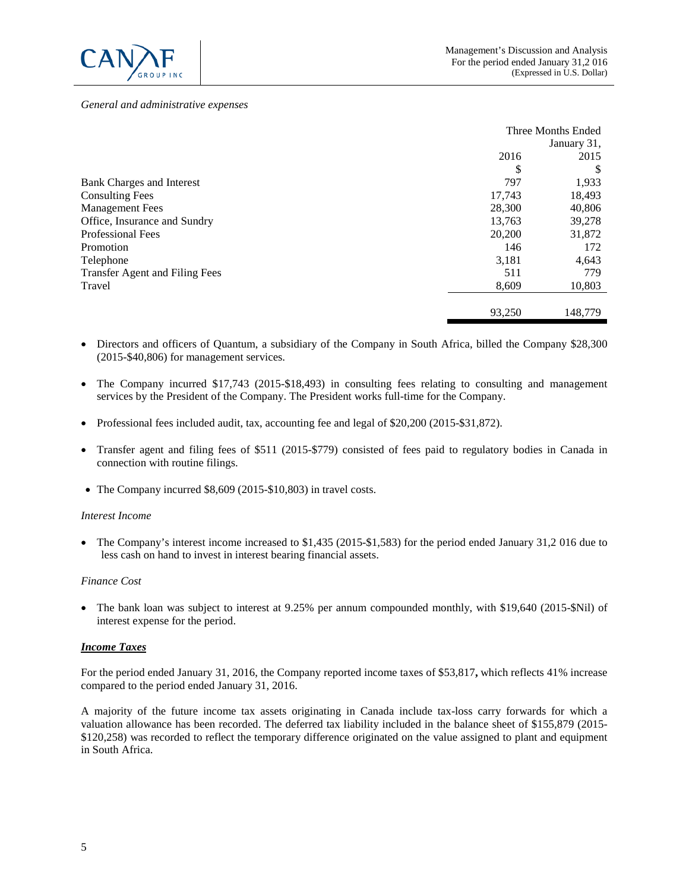

#### *General and administrative expenses*

|                                       |        | Three Months Ended |
|---------------------------------------|--------|--------------------|
|                                       |        | January 31,        |
|                                       | 2016   | 2015               |
|                                       | \$     | S                  |
| <b>Bank Charges and Interest</b>      | 797    | 1,933              |
| <b>Consulting Fees</b>                | 17,743 | 18,493             |
| <b>Management Fees</b>                | 28,300 | 40,806             |
| Office, Insurance and Sundry          | 13,763 | 39,278             |
| <b>Professional Fees</b>              | 20,200 | 31,872             |
| Promotion                             | 146    | 172                |
| Telephone                             | 3,181  | 4,643              |
| <b>Transfer Agent and Filing Fees</b> | 511    | 779                |
| Travel                                | 8,609  | 10,803             |
|                                       | 93,250 | 148,779            |

- Directors and officers of Quantum, a subsidiary of the Company in South Africa, billed the Company \$28,300 (2015-\$40,806) for management services.
- The Company incurred \$17,743 (2015-\$18,493) in consulting fees relating to consulting and management services by the President of the Company. The President works full-time for the Company.
- Professional fees included audit, tax, accounting fee and legal of \$20,200 (2015-\$31,872).
- Transfer agent and filing fees of \$511 (2015-\$779) consisted of fees paid to regulatory bodies in Canada in connection with routine filings.
- The Company incurred \$8,609 (2015-\$10,803) in travel costs.

#### *Interest Income*

• The Company's interest income increased to \$1,435 (2015-\$1,583) for the period ended January 31,2 016 due to less cash on hand to invest in interest bearing financial assets.

#### *Finance Cost*

• The bank loan was subject to interest at 9.25% per annum compounded monthly, with \$19,640 (2015-\$Nil) of interest expense for the period.

#### *Income Taxes*

For the period ended January 31, 2016, the Company reported income taxes of \$53,817**,** which reflects 41% increase compared to the period ended January 31, 2016.

A majority of the future income tax assets originating in Canada include tax-loss carry forwards for which a valuation allowance has been recorded. The deferred tax liability included in the balance sheet of \$155,879 (2015- \$120,258) was recorded to reflect the temporary difference originated on the value assigned to plant and equipment in South Africa.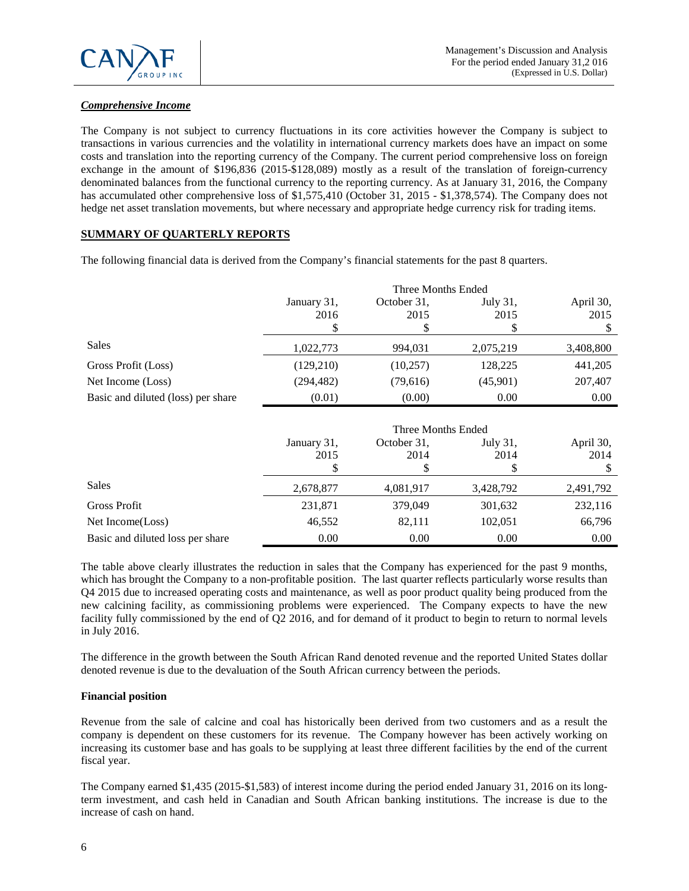

# *Comprehensive Income*

The Company is not subject to currency fluctuations in its core activities however the Company is subject to transactions in various currencies and the volatility in international currency markets does have an impact on some costs and translation into the reporting currency of the Company. The current period comprehensive loss on foreign exchange in the amount of \$196,836 (2015-\$128,089) mostly as a result of the translation of foreign-currency denominated balances from the functional currency to the reporting currency. As at January 31, 2016, the Company has accumulated other comprehensive loss of \$1,575,410 (October 31, 2015 - \$1,378,574). The Company does not hedge net asset translation movements, but where necessary and appropriate hedge currency risk for trading items.

# **SUMMARY OF QUARTERLY REPORTS**

The following financial data is derived from the Company's financial statements for the past 8 quarters.

|                                    |             |             | Three Months Ended |           |
|------------------------------------|-------------|-------------|--------------------|-----------|
|                                    | January 31, | October 31, | July 31,           | April 30, |
|                                    | 2016        | 2015        | 2015               | 2015      |
|                                    |             |             |                    |           |
| Sales                              | 1,022,773   | 994,031     | 2,075,219          | 3,408,800 |
| Gross Profit (Loss)                | (129,210)   | (10, 257)   | 128,225            | 441,205   |
| Net Income (Loss)                  | (294, 482)  | (79,616)    | (45,901)           | 207,407   |
| Basic and diluted (loss) per share | (0.01)      | (0.00)      | 0.00               | 0.00      |

|                                  |             | Three Months Ended |           |           |
|----------------------------------|-------------|--------------------|-----------|-----------|
|                                  | January 31, | October 31,        | July 31,  | April 30, |
|                                  | 2015        | 2014               | 2014      | 2014      |
|                                  |             |                    |           |           |
| Sales                            | 2,678,877   | 4,081,917          | 3,428,792 | 2,491,792 |
| <b>Gross Profit</b>              | 231,871     | 379,049            | 301,632   | 232,116   |
| Net Income(Loss)                 | 46,552      | 82,111             | 102,051   | 66,796    |
| Basic and diluted loss per share | 0.00        | 0.00               | 0.00      | 0.00      |

The table above clearly illustrates the reduction in sales that the Company has experienced for the past 9 months, which has brought the Company to a non-profitable position. The last quarter reflects particularly worse results than Q4 2015 due to increased operating costs and maintenance, as well as poor product quality being produced from the new calcining facility, as commissioning problems were experienced. The Company expects to have the new facility fully commissioned by the end of Q2 2016, and for demand of it product to begin to return to normal levels in July 2016.

The difference in the growth between the South African Rand denoted revenue and the reported United States dollar denoted revenue is due to the devaluation of the South African currency between the periods.

# **Financial position**

Revenue from the sale of calcine and coal has historically been derived from two customers and as a result the company is dependent on these customers for its revenue. The Company however has been actively working on increasing its customer base and has goals to be supplying at least three different facilities by the end of the current fiscal year.

The Company earned \$1,435 (2015-\$1,583) of interest income during the period ended January 31, 2016 on its longterm investment, and cash held in Canadian and South African banking institutions. The increase is due to the increase of cash on hand.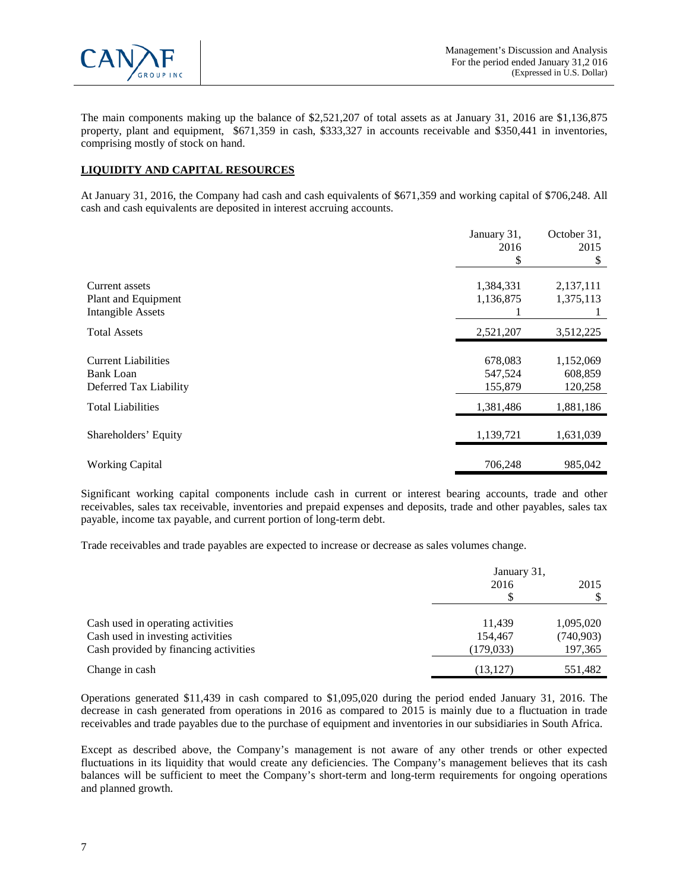

The main components making up the balance of \$2,521,207 of total assets as at January 31, 2016 are \$1,136,875 property, plant and equipment, \$671,359 in cash, \$333,327 in accounts receivable and \$350,441 in inventories, comprising mostly of stock on hand.

# **LIQUIDITY AND CAPITAL RESOURCES**

At January 31, 2016, the Company had cash and cash equivalents of \$671,359 and working capital of \$706,248. All cash and cash equivalents are deposited in interest accruing accounts.

|                                                                          | January 31,                   | October 31,                     |
|--------------------------------------------------------------------------|-------------------------------|---------------------------------|
|                                                                          | 2016                          | 2015                            |
|                                                                          | S                             | S                               |
| Current assets<br>Plant and Equipment<br><b>Intangible Assets</b>        | 1,384,331<br>1,136,875        | 2,137,111<br>1,375,113          |
| <b>Total Assets</b>                                                      | 2,521,207                     | 3,512,225                       |
| <b>Current Liabilities</b><br><b>Bank Loan</b><br>Deferred Tax Liability | 678,083<br>547,524<br>155,879 | 1,152,069<br>608,859<br>120,258 |
| <b>Total Liabilities</b>                                                 | 1,381,486                     | 1,881,186                       |
| Shareholders' Equity                                                     | 1,139,721                     | 1,631,039                       |
| <b>Working Capital</b>                                                   | 706,248                       | 985,042                         |

Significant working capital components include cash in current or interest bearing accounts, trade and other receivables, sales tax receivable, inventories and prepaid expenses and deposits, trade and other payables, sales tax payable, income tax payable, and current portion of long-term debt.

Trade receivables and trade payables are expected to increase or decrease as sales volumes change.

|                                       | January 31, |           |
|---------------------------------------|-------------|-----------|
|                                       | 2016        | 2015      |
|                                       | \$          |           |
| Cash used in operating activities     | 11.439      | 1,095,020 |
| Cash used in investing activities     | 154,467     | (740,903) |
| Cash provided by financing activities | (179, 033)  | 197,365   |
| Change in cash                        | (13, 127)   | 551,482   |

Operations generated \$11,439 in cash compared to \$1,095,020 during the period ended January 31, 2016. The decrease in cash generated from operations in 2016 as compared to 2015 is mainly due to a fluctuation in trade receivables and trade payables due to the purchase of equipment and inventories in our subsidiaries in South Africa.

Except as described above, the Company's management is not aware of any other trends or other expected fluctuations in its liquidity that would create any deficiencies. The Company's management believes that its cash balances will be sufficient to meet the Company's short-term and long-term requirements for ongoing operations and planned growth.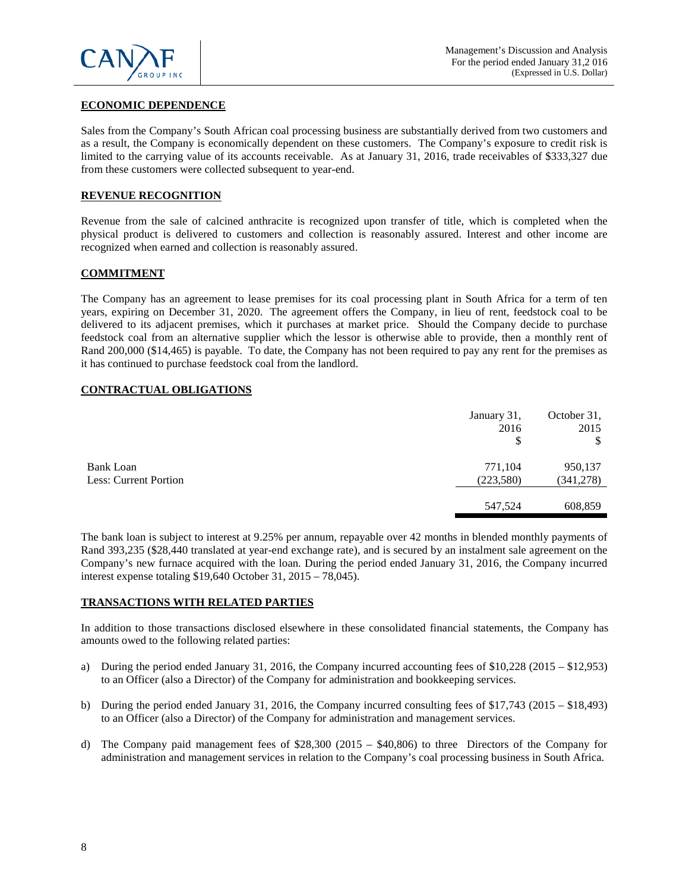

# **ECONOMIC DEPENDENCE**

Sales from the Company's South African coal processing business are substantially derived from two customers and as a result, the Company is economically dependent on these customers. The Company's exposure to credit risk is limited to the carrying value of its accounts receivable. As at January 31, 2016, trade receivables of \$333,327 due from these customers were collected subsequent to year-end.

## **REVENUE RECOGNITION**

Revenue from the sale of calcined anthracite is recognized upon transfer of title, which is completed when the physical product is delivered to customers and collection is reasonably assured. Interest and other income are recognized when earned and collection is reasonably assured.

#### **COMMITMENT**

The Company has an agreement to lease premises for its coal processing plant in South Africa for a term of ten years, expiring on December 31, 2020. The agreement offers the Company, in lieu of rent, feedstock coal to be delivered to its adjacent premises, which it purchases at market price. Should the Company decide to purchase feedstock coal from an alternative supplier which the lessor is otherwise able to provide, then a monthly rent of Rand 200,000 (\$14,465) is payable. To date, the Company has not been required to pay any rent for the premises as it has continued to purchase feedstock coal from the landlord.

## **CONTRACTUAL OBLIGATIONS**

|                                           | January 31,<br>2016<br>\$ | October 31,<br>2015<br>\$ |
|-------------------------------------------|---------------------------|---------------------------|
| <b>Bank Loan</b><br>Less: Current Portion | 771,104<br>(223, 580)     | 950,137<br>(341, 278)     |
|                                           | 547,524                   | 608,859                   |

The bank loan is subject to interest at 9.25% per annum, repayable over 42 months in blended monthly payments of Rand 393,235 (\$28,440 translated at year-end exchange rate), and is secured by an instalment sale agreement on the Company's new furnace acquired with the loan. During the period ended January 31, 2016, the Company incurred interest expense totaling \$19,640 October 31, 2015 – 78,045).

#### **TRANSACTIONS WITH RELATED PARTIES**

In addition to those transactions disclosed elsewhere in these consolidated financial statements, the Company has amounts owed to the following related parties:

- a) During the period ended January 31, 2016, the Company incurred accounting fees of \$10,228 (2015 \$12,953) to an Officer (also a Director) of the Company for administration and bookkeeping services.
- b) During the period ended January 31, 2016, the Company incurred consulting fees of \$17,743 (2015 \$18,493) to an Officer (also a Director) of the Company for administration and management services.
- d) The Company paid management fees of \$28,300 (2015 \$40,806) to three Directors of the Company for administration and management services in relation to the Company's coal processing business in South Africa.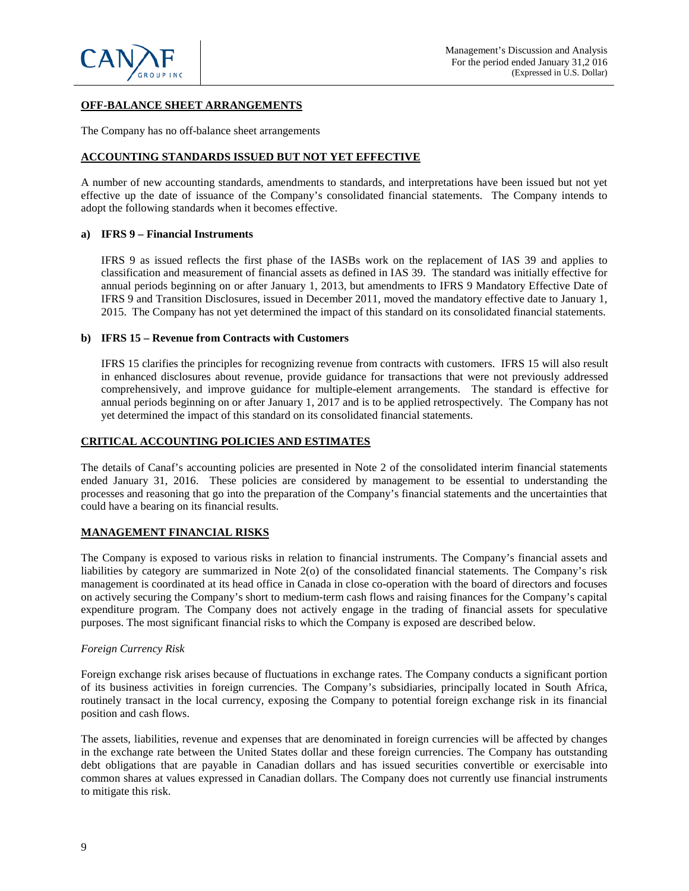

# **OFF-BALANCE SHEET ARRANGEMENTS**

The Company has no off-balance sheet arrangements

#### **ACCOUNTING STANDARDS ISSUED BUT NOT YET EFFECTIVE**

A number of new accounting standards, amendments to standards, and interpretations have been issued but not yet effective up the date of issuance of the Company's consolidated financial statements. The Company intends to adopt the following standards when it becomes effective.

#### **a) IFRS 9 – Financial Instruments**

IFRS 9 as issued reflects the first phase of the IASBs work on the replacement of IAS 39 and applies to classification and measurement of financial assets as defined in IAS 39. The standard was initially effective for annual periods beginning on or after January 1, 2013, but amendments to IFRS 9 Mandatory Effective Date of IFRS 9 and Transition Disclosures, issued in December 2011, moved the mandatory effective date to January 1, 2015. The Company has not yet determined the impact of this standard on its consolidated financial statements.

#### **b) IFRS 15 – Revenue from Contracts with Customers**

IFRS 15 clarifies the principles for recognizing revenue from contracts with customers. IFRS 15 will also result in enhanced disclosures about revenue, provide guidance for transactions that were not previously addressed comprehensively, and improve guidance for multiple-element arrangements. The standard is effective for annual periods beginning on or after January 1, 2017 and is to be applied retrospectively. The Company has not yet determined the impact of this standard on its consolidated financial statements.

## **CRITICAL ACCOUNTING POLICIES AND ESTIMATES**

The details of Canaf's accounting policies are presented in Note 2 of the consolidated interim financial statements ended January 31, 2016. These policies are considered by management to be essential to understanding the processes and reasoning that go into the preparation of the Company's financial statements and the uncertainties that could have a bearing on its financial results.

# **MANAGEMENT FINANCIAL RISKS**

The Company is exposed to various risks in relation to financial instruments. The Company's financial assets and liabilities by category are summarized in Note 2(o) of the consolidated financial statements. The Company's risk management is coordinated at its head office in Canada in close co-operation with the board of directors and focuses on actively securing the Company's short to medium-term cash flows and raising finances for the Company's capital expenditure program. The Company does not actively engage in the trading of financial assets for speculative purposes. The most significant financial risks to which the Company is exposed are described below.

### *Foreign Currency Risk*

Foreign exchange risk arises because of fluctuations in exchange rates. The Company conducts a significant portion of its business activities in foreign currencies. The Company's subsidiaries, principally located in South Africa, routinely transact in the local currency, exposing the Company to potential foreign exchange risk in its financial position and cash flows.

The assets, liabilities, revenue and expenses that are denominated in foreign currencies will be affected by changes in the exchange rate between the United States dollar and these foreign currencies. The Company has outstanding debt obligations that are payable in Canadian dollars and has issued securities convertible or exercisable into common shares at values expressed in Canadian dollars. The Company does not currently use financial instruments to mitigate this risk.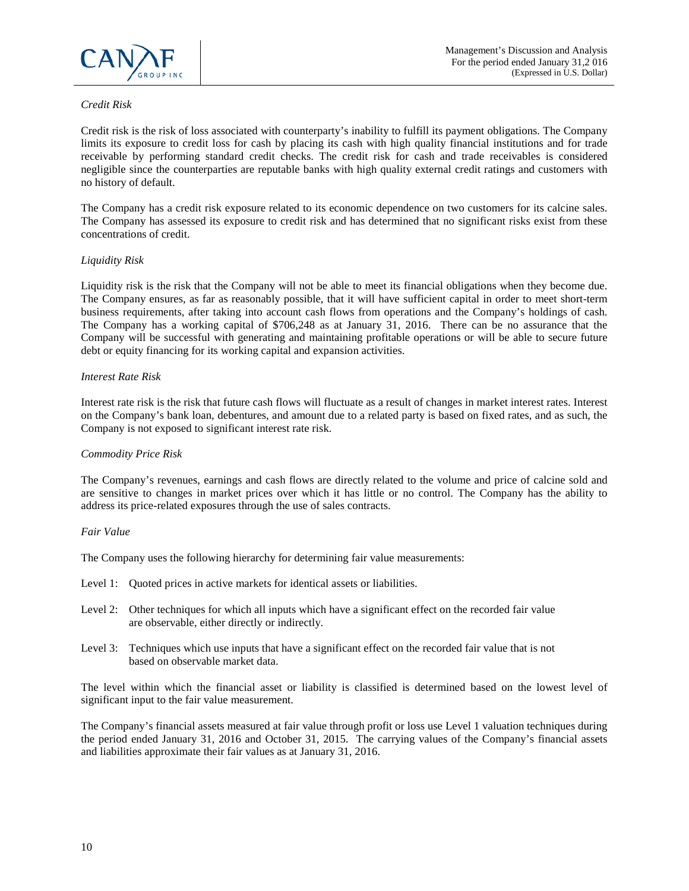

# *Credit Risk*

Credit risk is the risk of loss associated with counterparty's inability to fulfill its payment obligations. The Company limits its exposure to credit loss for cash by placing its cash with high quality financial institutions and for trade receivable by performing standard credit checks. The credit risk for cash and trade receivables is considered negligible since the counterparties are reputable banks with high quality external credit ratings and customers with no history of default.

The Company has a credit risk exposure related to its economic dependence on two customers for its calcine sales. The Company has assessed its exposure to credit risk and has determined that no significant risks exist from these concentrations of credit.

# *Liquidity Risk*

Liquidity risk is the risk that the Company will not be able to meet its financial obligations when they become due. The Company ensures, as far as reasonably possible, that it will have sufficient capital in order to meet short-term business requirements, after taking into account cash flows from operations and the Company's holdings of cash. The Company has a working capital of \$706,248 as at January 31, 2016. There can be no assurance that the Company will be successful with generating and maintaining profitable operations or will be able to secure future debt or equity financing for its working capital and expansion activities.

### *Interest Rate Risk*

Interest rate risk is the risk that future cash flows will fluctuate as a result of changes in market interest rates. Interest on the Company's bank loan, debentures, and amount due to a related party is based on fixed rates, and as such, the Company is not exposed to significant interest rate risk.

# *Commodity Price Risk*

The Company's revenues, earnings and cash flows are directly related to the volume and price of calcine sold and are sensitive to changes in market prices over which it has little or no control. The Company has the ability to address its price-related exposures through the use of sales contracts.

# *Fair Value*

The Company uses the following hierarchy for determining fair value measurements:

- Level 1: Quoted prices in active markets for identical assets or liabilities.
- Level 2: Other techniques for which all inputs which have a significant effect on the recorded fair value are observable, either directly or indirectly.
- Level 3: Techniques which use inputs that have a significant effect on the recorded fair value that is not based on observable market data.

The level within which the financial asset or liability is classified is determined based on the lowest level of significant input to the fair value measurement.

The Company's financial assets measured at fair value through profit or loss use Level 1 valuation techniques during the period ended January 31, 2016 and October 31, 2015. The carrying values of the Company's financial assets and liabilities approximate their fair values as at January 31, 2016.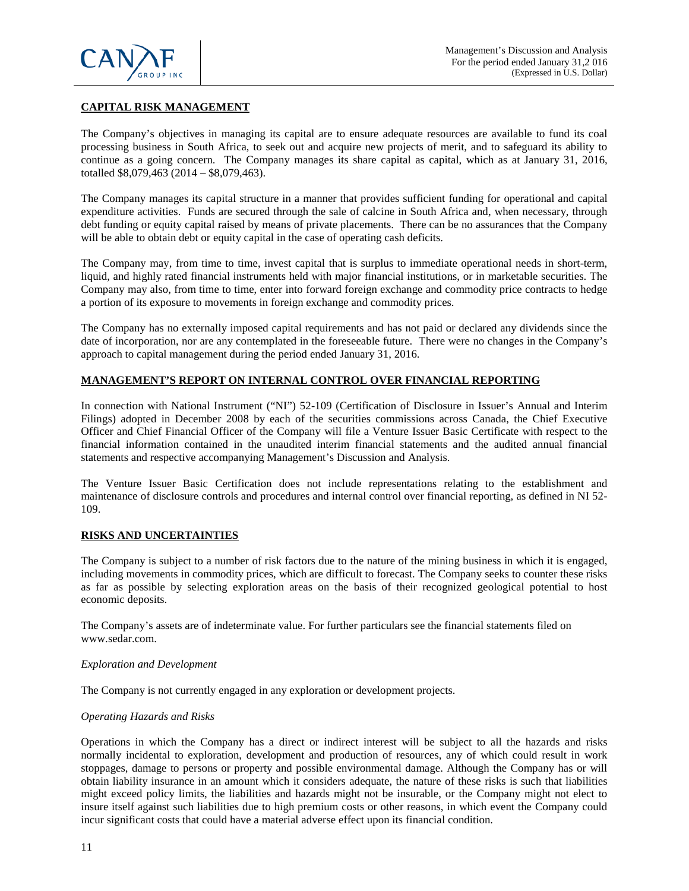

# **CAPITAL RISK MANAGEMENT**

The Company's objectives in managing its capital are to ensure adequate resources are available to fund its coal processing business in South Africa, to seek out and acquire new projects of merit, and to safeguard its ability to continue as a going concern. The Company manages its share capital as capital, which as at January 31, 2016, totalled \$8,079,463 (2014 – \$8,079,463).

The Company manages its capital structure in a manner that provides sufficient funding for operational and capital expenditure activities. Funds are secured through the sale of calcine in South Africa and, when necessary, through debt funding or equity capital raised by means of private placements. There can be no assurances that the Company will be able to obtain debt or equity capital in the case of operating cash deficits.

The Company may, from time to time, invest capital that is surplus to immediate operational needs in short-term, liquid, and highly rated financial instruments held with major financial institutions, or in marketable securities. The Company may also, from time to time, enter into forward foreign exchange and commodity price contracts to hedge a portion of its exposure to movements in foreign exchange and commodity prices.

The Company has no externally imposed capital requirements and has not paid or declared any dividends since the date of incorporation, nor are any contemplated in the foreseeable future. There were no changes in the Company's approach to capital management during the period ended January 31, 2016.

### **MANAGEMENT'S REPORT ON INTERNAL CONTROL OVER FINANCIAL REPORTING**

In connection with National Instrument ("NI") 52-109 (Certification of Disclosure in Issuer's Annual and Interim Filings) adopted in December 2008 by each of the securities commissions across Canada, the Chief Executive Officer and Chief Financial Officer of the Company will file a Venture Issuer Basic Certificate with respect to the financial information contained in the unaudited interim financial statements and the audited annual financial statements and respective accompanying Management's Discussion and Analysis.

The Venture Issuer Basic Certification does not include representations relating to the establishment and maintenance of disclosure controls and procedures and internal control over financial reporting, as defined in NI 52- 109.

#### **RISKS AND UNCERTAINTIES**

The Company is subject to a number of risk factors due to the nature of the mining business in which it is engaged, including movements in commodity prices, which are difficult to forecast. The Company seeks to counter these risks as far as possible by selecting exploration areas on the basis of their recognized geological potential to host economic deposits.

The Company's assets are of indeterminate value. For further particulars see the financial statements filed on www.sedar.com.

#### *Exploration and Development*

The Company is not currently engaged in any exploration or development projects.

#### *Operating Hazards and Risks*

Operations in which the Company has a direct or indirect interest will be subject to all the hazards and risks normally incidental to exploration, development and production of resources, any of which could result in work stoppages, damage to persons or property and possible environmental damage. Although the Company has or will obtain liability insurance in an amount which it considers adequate, the nature of these risks is such that liabilities might exceed policy limits, the liabilities and hazards might not be insurable, or the Company might not elect to insure itself against such liabilities due to high premium costs or other reasons, in which event the Company could incur significant costs that could have a material adverse effect upon its financial condition.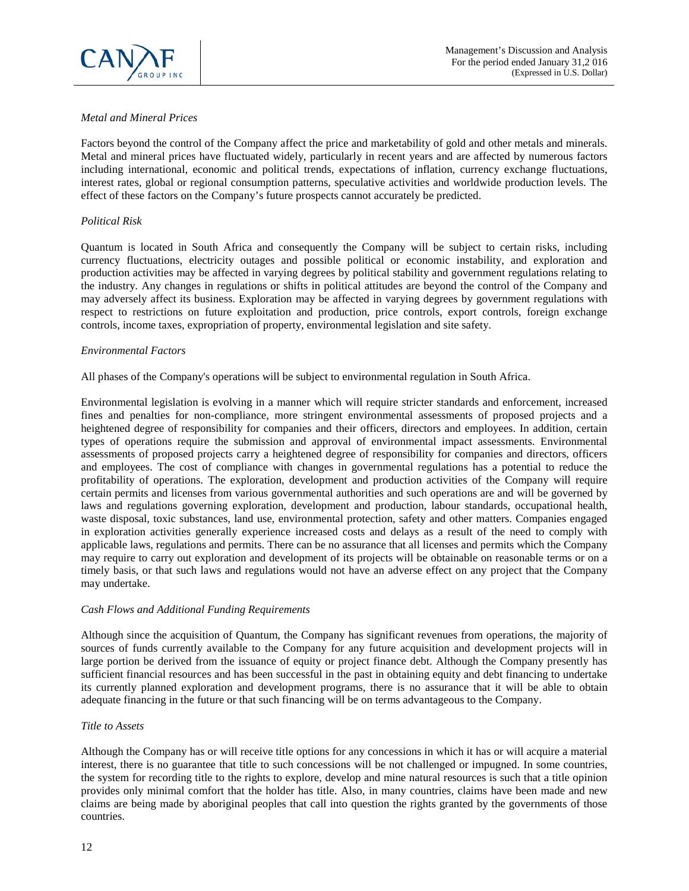

# *Metal and Mineral Prices*

Factors beyond the control of the Company affect the price and marketability of gold and other metals and minerals. Metal and mineral prices have fluctuated widely, particularly in recent years and are affected by numerous factors including international, economic and political trends, expectations of inflation, currency exchange fluctuations, interest rates, global or regional consumption patterns, speculative activities and worldwide production levels. The effect of these factors on the Company's future prospects cannot accurately be predicted.

# *Political Risk*

Quantum is located in South Africa and consequently the Company will be subject to certain risks, including currency fluctuations, electricity outages and possible political or economic instability, and exploration and production activities may be affected in varying degrees by political stability and government regulations relating to the industry. Any changes in regulations or shifts in political attitudes are beyond the control of the Company and may adversely affect its business. Exploration may be affected in varying degrees by government regulations with respect to restrictions on future exploitation and production, price controls, export controls, foreign exchange controls, income taxes, expropriation of property, environmental legislation and site safety.

# *Environmental Factors*

All phases of the Company's operations will be subject to environmental regulation in South Africa.

Environmental legislation is evolving in a manner which will require stricter standards and enforcement, increased fines and penalties for non-compliance, more stringent environmental assessments of proposed projects and a heightened degree of responsibility for companies and their officers, directors and employees. In addition, certain types of operations require the submission and approval of environmental impact assessments. Environmental assessments of proposed projects carry a heightened degree of responsibility for companies and directors, officers and employees. The cost of compliance with changes in governmental regulations has a potential to reduce the profitability of operations. The exploration, development and production activities of the Company will require certain permits and licenses from various governmental authorities and such operations are and will be governed by laws and regulations governing exploration, development and production, labour standards, occupational health, waste disposal, toxic substances, land use, environmental protection, safety and other matters. Companies engaged in exploration activities generally experience increased costs and delays as a result of the need to comply with applicable laws, regulations and permits. There can be no assurance that all licenses and permits which the Company may require to carry out exploration and development of its projects will be obtainable on reasonable terms or on a timely basis, or that such laws and regulations would not have an adverse effect on any project that the Company may undertake.

# *Cash Flows and Additional Funding Requirements*

Although since the acquisition of Quantum, the Company has significant revenues from operations, the majority of sources of funds currently available to the Company for any future acquisition and development projects will in large portion be derived from the issuance of equity or project finance debt. Although the Company presently has sufficient financial resources and has been successful in the past in obtaining equity and debt financing to undertake its currently planned exploration and development programs, there is no assurance that it will be able to obtain adequate financing in the future or that such financing will be on terms advantageous to the Company.

# *Title to Assets*

Although the Company has or will receive title options for any concessions in which it has or will acquire a material interest, there is no guarantee that title to such concessions will be not challenged or impugned. In some countries, the system for recording title to the rights to explore, develop and mine natural resources is such that a title opinion provides only minimal comfort that the holder has title. Also, in many countries, claims have been made and new claims are being made by aboriginal peoples that call into question the rights granted by the governments of those countries.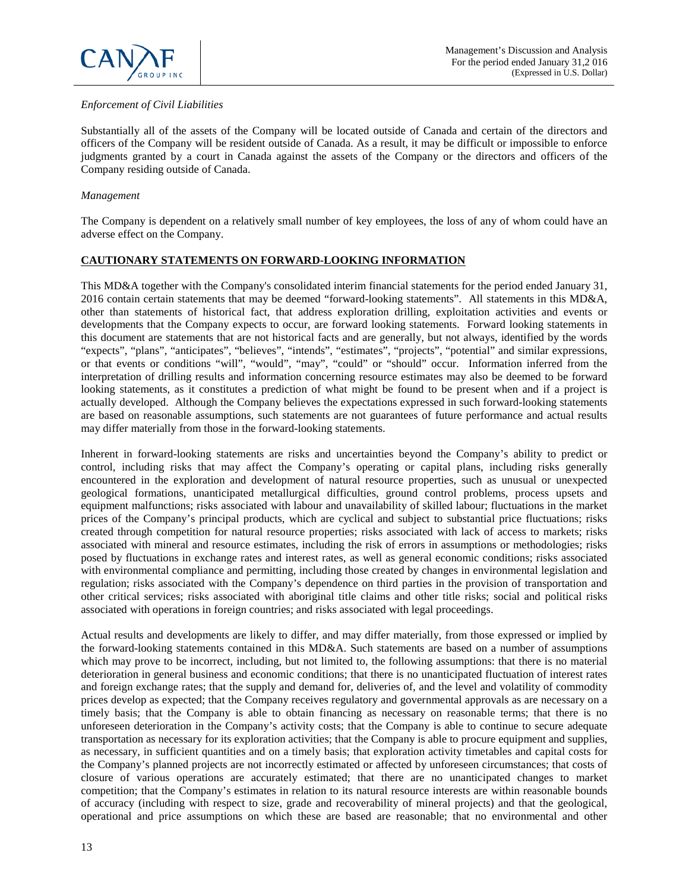

# *Enforcement of Civil Liabilities*

Substantially all of the assets of the Company will be located outside of Canada and certain of the directors and officers of the Company will be resident outside of Canada. As a result, it may be difficult or impossible to enforce judgments granted by a court in Canada against the assets of the Company or the directors and officers of the Company residing outside of Canada.

## *Management*

The Company is dependent on a relatively small number of key employees, the loss of any of whom could have an adverse effect on the Company.

# **CAUTIONARY STATEMENTS ON FORWARD-LOOKING INFORMATION**

This MD&A together with the Company's consolidated interim financial statements for the period ended January 31, 2016 contain certain statements that may be deemed "forward-looking statements". All statements in this MD&A, other than statements of historical fact, that address exploration drilling, exploitation activities and events or developments that the Company expects to occur, are forward looking statements. Forward looking statements in this document are statements that are not historical facts and are generally, but not always, identified by the words "expects", "plans", "anticipates", "believes", "intends", "estimates", "projects", "potential" and similar expressions, or that events or conditions "will", "would", "may", "could" or "should" occur. Information inferred from the interpretation of drilling results and information concerning resource estimates may also be deemed to be forward looking statements, as it constitutes a prediction of what might be found to be present when and if a project is actually developed. Although the Company believes the expectations expressed in such forward-looking statements are based on reasonable assumptions, such statements are not guarantees of future performance and actual results may differ materially from those in the forward-looking statements.

Inherent in forward-looking statements are risks and uncertainties beyond the Company's ability to predict or control, including risks that may affect the Company's operating or capital plans, including risks generally encountered in the exploration and development of natural resource properties, such as unusual or unexpected geological formations, unanticipated metallurgical difficulties, ground control problems, process upsets and equipment malfunctions; risks associated with labour and unavailability of skilled labour; fluctuations in the market prices of the Company's principal products, which are cyclical and subject to substantial price fluctuations; risks created through competition for natural resource properties; risks associated with lack of access to markets; risks associated with mineral and resource estimates, including the risk of errors in assumptions or methodologies; risks posed by fluctuations in exchange rates and interest rates, as well as general economic conditions; risks associated with environmental compliance and permitting, including those created by changes in environmental legislation and regulation; risks associated with the Company's dependence on third parties in the provision of transportation and other critical services; risks associated with aboriginal title claims and other title risks; social and political risks associated with operations in foreign countries; and risks associated with legal proceedings.

Actual results and developments are likely to differ, and may differ materially, from those expressed or implied by the forward-looking statements contained in this MD&A. Such statements are based on a number of assumptions which may prove to be incorrect, including, but not limited to, the following assumptions: that there is no material deterioration in general business and economic conditions; that there is no unanticipated fluctuation of interest rates and foreign exchange rates; that the supply and demand for, deliveries of, and the level and volatility of commodity prices develop as expected; that the Company receives regulatory and governmental approvals as are necessary on a timely basis; that the Company is able to obtain financing as necessary on reasonable terms; that there is no unforeseen deterioration in the Company's activity costs; that the Company is able to continue to secure adequate transportation as necessary for its exploration activities; that the Company is able to procure equipment and supplies, as necessary, in sufficient quantities and on a timely basis; that exploration activity timetables and capital costs for the Company's planned projects are not incorrectly estimated or affected by unforeseen circumstances; that costs of closure of various operations are accurately estimated; that there are no unanticipated changes to market competition; that the Company's estimates in relation to its natural resource interests are within reasonable bounds of accuracy (including with respect to size, grade and recoverability of mineral projects) and that the geological, operational and price assumptions on which these are based are reasonable; that no environmental and other